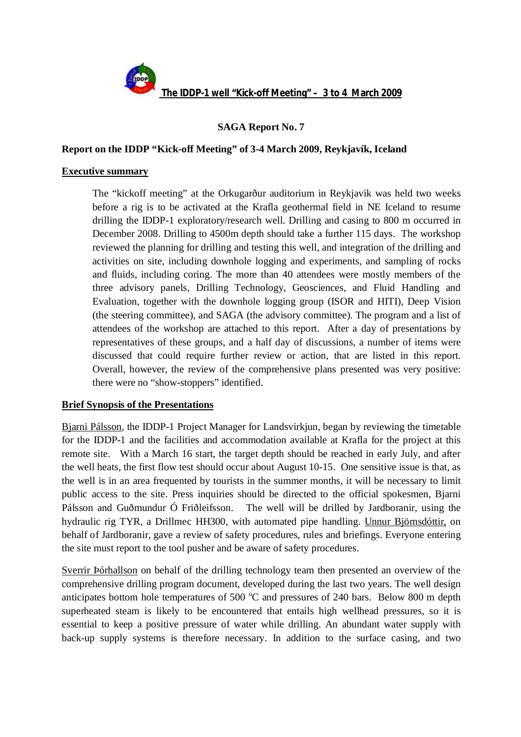

# **SAGA Report No. 7**

### **Report on the IDDP "Kick-off Meeting" of 3-4 March 2009, Reykjavík, Iceland**

#### **Executive summary**

The "kickoff meeting" at the Orkugarður auditorium in Reykjavik was held two weeks before a rig is to be activated at the Krafla geothermal field in NE Iceland to resume drilling the IDDP-1 exploratory/research well. Drilling and casing to 800 m occurred in December 2008. Drilling to 4500m depth should take a further 115 days. The workshop reviewed the planning for drilling and testing this well, and integration of the drilling and activities on site, including downhole logging and experiments, and sampling of rocks and fluids, including coring. The more than 40 attendees were mostly members of the three advisory panels, Drilling Technology, Geosciences, and Fluid Handling and Evaluation, together with the downhole logging group (ISOR and HITI), Deep Vision (the steering committee), and SAGA (the advisory committee). The program and a list of attendees of the workshop are attached to this report. After a day of presentations by representatives of these groups, and a half day of discussions, a number of items were discussed that could require further review or action, that are listed in this report. Overall, however, the review of the comprehensive plans presented was very positive: there were no "show-stoppers" identified.

#### **Brief Synopsis of the Presentations**

Bjarni Pálsson, the IDDP-1 Project Manager for Landsvirkjun, began by reviewing the timetable for the IDDP-1 and the facilities and accommodation available at Krafla for the project at this remote site. With a March 16 start, the target depth should be reached in early July, and after the well heats, the first flow test should occur about August 10-15. One sensitive issue is that, as the well is in an area frequented by tourists in the summer months, it will be necessary to limit public access to the site. Press inquiries should be directed to the official spokesmen, Bjarni Pálsson and Guðmundur Ó Friðleifsson. The well will be drilled by Jardboranir, using the hydraulic rig TYR, a Drillmec HH300, with automated pipe handling. Unnur Björnsdóttir, on behalf of Jardboranir, gave a review of safety procedures, rules and briefings. Everyone entering the site must report to the tool pusher and be aware of safety procedures.

Sverrir Þórhallson on behalf of the drilling technology team then presented an overview of the comprehensive drilling program document, developed during the last two years. The well design anticipates bottom hole temperatures of 500  $^{\circ}$ C and pressures of 240 bars. Below 800 m depth superheated steam is likely to be encountered that entails high wellhead pressures, so it is essential to keep a positive pressure of water while drilling. An abundant water supply with back-up supply systems is therefore necessary. In addition to the surface casing, and two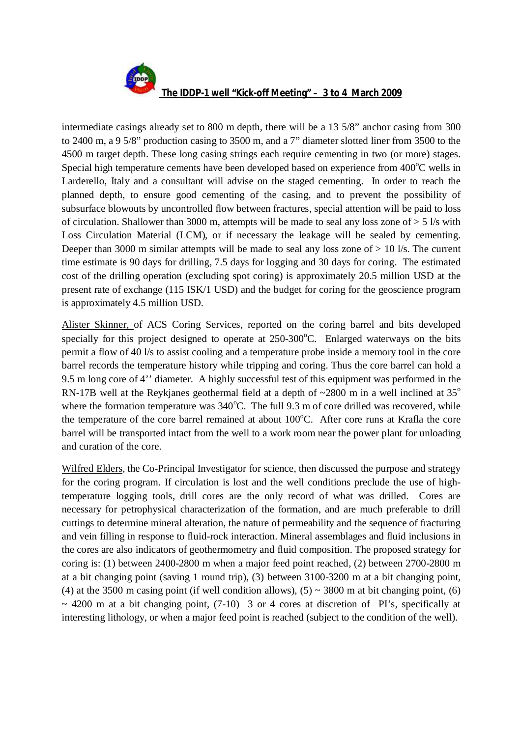

intermediate casings already set to 800 m depth, there will be a 13 5/8" anchor casing from 300 to 2400 m, a 9 5/8" production casing to 3500 m, and a 7" diameter slotted liner from 3500 to the 4500 m target depth. These long casing strings each require cementing in two (or more) stages. Special high temperature cements have been developed based on experience from  $400^{\circ}$ C wells in Larderello, Italy and a consultant will advise on the staged cementing. In order to reach the planned depth, to ensure good cementing of the casing, and to prevent the possibility of subsurface blowouts by uncontrolled flow between fractures, special attention will be paid to loss of circulation. Shallower than 3000 m, attempts will be made to seal any loss zone of > 5 l/s with Loss Circulation Material (LCM), or if necessary the leakage will be sealed by cementing. Deeper than 3000 m similar attempts will be made to seal any loss zone of  $> 10$  l/s. The current time estimate is 90 days for drilling, 7.5 days for logging and 30 days for coring. The estimated cost of the drilling operation (excluding spot coring) is approximately 20.5 million USD at the present rate of exchange (115 ISK/1 USD) and the budget for coring for the geoscience program is approximately 4.5 million USD.

Alister Skinner, of ACS Coring Services, reported on the coring barrel and bits developed specially for this project designed to operate at  $250{\text -}300^{\circ}$ C. Enlarged waterways on the bits permit a flow of 40 l/s to assist cooling and a temperature probe inside a memory tool in the core barrel records the temperature history while tripping and coring. Thus the core barrel can hold a 9.5 m long core of 4'' diameter. A highly successful test of this equipment was performed in the RN-17B well at the Reykjanes geothermal field at a depth of  $\sim$ 2800 m in a well inclined at 35<sup>o</sup> where the formation temperature was  $340^{\circ}$ C. The full 9.3 m of core drilled was recovered, while the temperature of the core barrel remained at about  $100^{\circ}$ C. After core runs at Krafla the core barrel will be transported intact from the well to a work room near the power plant for unloading and curation of the core.

Wilfred Elders, the Co-Principal Investigator for science, then discussed the purpose and strategy for the coring program. If circulation is lost and the well conditions preclude the use of hightemperature logging tools, drill cores are the only record of what was drilled. Cores are necessary for petrophysical characterization of the formation, and are much preferable to drill cuttings to determine mineral alteration, the nature of permeability and the sequence of fracturing and vein filling in response to fluid-rock interaction. Mineral assemblages and fluid inclusions in the cores are also indicators of geothermometry and fluid composition. The proposed strategy for coring is: (1) between 2400-2800 m when a major feed point reached, (2) between 2700-2800 m at a bit changing point (saving 1 round trip), (3) between 3100-3200 m at a bit changing point, (4) at the 3500 m casing point (if well condition allows),  $(5) \sim 3800$  m at bit changing point, (6)  $\sim$  4200 m at a bit changing point, (7-10) 3 or 4 cores at discretion of PI's, specifically at interesting lithology, or when a major feed point is reached (subject to the condition of the well).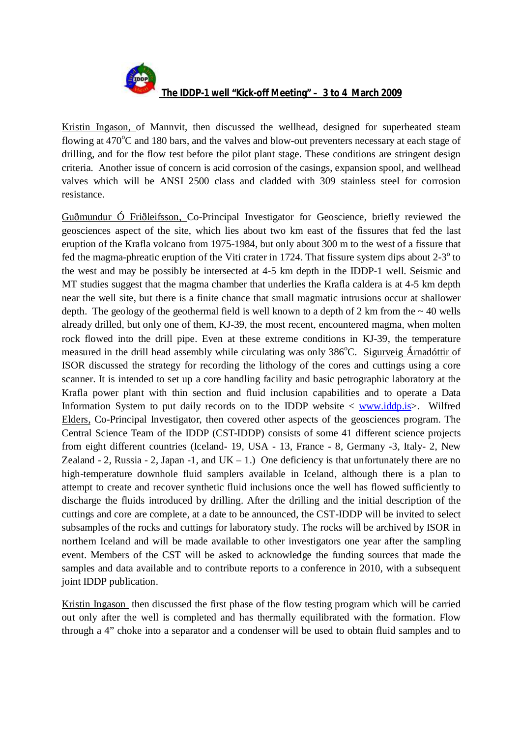

Kristin Ingason, of Mannvit, then discussed the wellhead, designed for superheated steam flowing at  $470^{\circ}$ C and 180 bars, and the valves and blow-out preventers necessary at each stage of drilling, and for the flow test before the pilot plant stage. These conditions are stringent design criteria. Another issue of concern is acid corrosion of the casings, expansion spool, and wellhead valves which will be ANSI 2500 class and cladded with 309 stainless steel for corrosion resistance.

Guðmundur Ó Friðleifsson, Co-Principal Investigator for Geoscience, briefly reviewed the geosciences aspect of the site, which lies about two km east of the fissures that fed the last eruption of the Krafla volcano from 1975-1984, but only about 300 m to the west of a fissure that fed the magma-phreatic eruption of the Viti crater in 1724. That fissure system dips about  $2-3^\circ$  to the west and may be possibly be intersected at 4-5 km depth in the IDDP-1 well. Seismic and MT studies suggest that the magma chamber that underlies the Krafla caldera is at 4-5 km depth near the well site, but there is a finite chance that small magmatic intrusions occur at shallower depth. The geology of the geothermal field is well known to a depth of 2 km from the  $\sim$  40 wells already drilled, but only one of them, KJ-39, the most recent, encountered magma, when molten rock flowed into the drill pipe. Even at these extreme conditions in KJ-39, the temperature measured in the drill head assembly while circulating was only 386<sup>o</sup>C. Sigurveig Árnadóttir of ISOR discussed the strategy for recording the lithology of the cores and cuttings using a core scanner. It is intended to set up a core handling facility and basic petrographic laboratory at the Krafla power plant with thin section and fluid inclusion capabilities and to operate a Data Information System to put daily records on to the IDDP website  $\langle$  www.iddp.is $\rangle$ . Wilfred Elders, Co-Principal Investigator, then covered other aspects of the geosciences program. The Central Science Team of the IDDP (CST-IDDP) consists of some 41 different science projects from eight different countries (Iceland- 19, USA - 13, France - 8, Germany -3, Italy- 2, New Zealand - 2, Russia - 2, Japan -1, and  $UK - 1$ .) One deficiency is that unfortunately there are no high-temperature downhole fluid samplers available in Iceland, although there is a plan to attempt to create and recover synthetic fluid inclusions once the well has flowed sufficiently to discharge the fluids introduced by drilling. After the drilling and the initial description of the cuttings and core are complete, at a date to be announced, the CST-IDDP will be invited to select subsamples of the rocks and cuttings for laboratory study. The rocks will be archived by ISOR in northern Iceland and will be made available to other investigators one year after the sampling event. Members of the CST will be asked to acknowledge the funding sources that made the samples and data available and to contribute reports to a conference in 2010, with a subsequent joint IDDP publication.

Kristin Ingason then discussed the first phase of the flow testing program which will be carried out only after the well is completed and has thermally equilibrated with the formation. Flow through a 4" choke into a separator and a condenser will be used to obtain fluid samples and to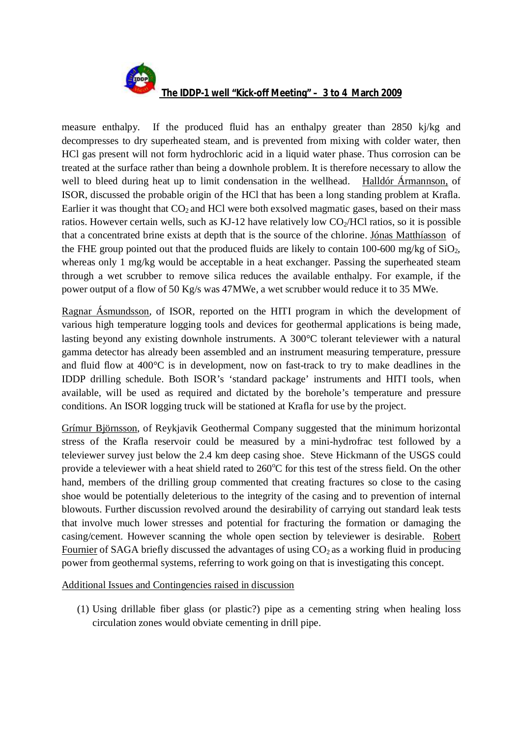

measure enthalpy. If the produced fluid has an enthalpy greater than 2850 kj/kg and decompresses to dry superheated steam, and is prevented from mixing with colder water, then HCl gas present will not form hydrochloric acid in a liquid water phase. Thus corrosion can be treated at the surface rather than being a downhole problem. It is therefore necessary to allow the well to bleed during heat up to limit condensation in the wellhead. Halldór Ármannson, of ISOR, discussed the probable origin of the HCl that has been a long standing problem at Krafla. Earlier it was thought that  $CO<sub>2</sub>$  and HCl were both exsolved magmatic gases, based on their mass ratios. However certain wells, such as KJ-12 have relatively low  $CO<sub>2</sub>/HCl$  ratios, so it is possible that a concentrated brine exists at depth that is the source of the chlorine. Jónas Matthíasson of the FHE group pointed out that the produced fluids are likely to contain 100-600 mg/kg of  $SiO<sub>2</sub>$ , whereas only 1 mg/kg would be acceptable in a heat exchanger. Passing the superheated steam through a wet scrubber to remove silica reduces the available enthalpy. For example, if the power output of a flow of 50 Kg/s was 47MWe, a wet scrubber would reduce it to 35 MWe.

Ragnar Ásmundsson, of ISOR, reported on the HITI program in which the development of various high temperature logging tools and devices for geothermal applications is being made, lasting beyond any existing downhole instruments. A 300°C tolerant televiewer with a natural gamma detector has already been assembled and an instrument measuring temperature, pressure and fluid flow at 400°C is in development, now on fast-track to try to make deadlines in the IDDP drilling schedule. Both ISOR's 'standard package' instruments and HITI tools, when available, will be used as required and dictated by the borehole's temperature and pressure conditions. An ISOR logging truck will be stationed at Krafla for use by the project.

Grímur Björnsson, of Reykjavik Geothermal Company suggested that the minimum horizontal stress of the Krafla reservoir could be measured by a mini-hydrofrac test followed by a televiewer survey just below the 2.4 km deep casing shoe. Steve Hickmann of the USGS could provide a televiewer with a heat shield rated to  $260^{\circ}$ C for this test of the stress field. On the other hand, members of the drilling group commented that creating fractures so close to the casing shoe would be potentially deleterious to the integrity of the casing and to prevention of internal blowouts. Further discussion revolved around the desirability of carrying out standard leak tests that involve much lower stresses and potential for fracturing the formation or damaging the casing/cement. However scanning the whole open section by televiewer is desirable. Robert Fournier of SAGA briefly discussed the advantages of using  $CO<sub>2</sub>$  as a working fluid in producing power from geothermal systems, referring to work going on that is investigating this concept.

Additional Issues and Contingencies raised in discussion

(1) Using drillable fiber glass (or plastic?) pipe as a cementing string when healing loss circulation zones would obviate cementing in drill pipe.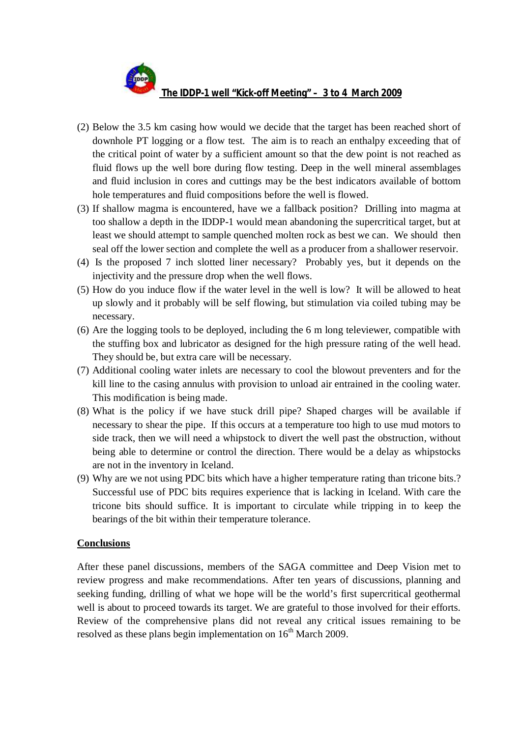- (2) Below the 3.5 km casing how would we decide that the target has been reached short of downhole PT logging or a flow test. The aim is to reach an enthalpy exceeding that of the critical point of water by a sufficient amount so that the dew point is not reached as fluid flows up the well bore during flow testing. Deep in the well mineral assemblages and fluid inclusion in cores and cuttings may be the best indicators available of bottom hole temperatures and fluid compositions before the well is flowed.
- (3) If shallow magma is encountered, have we a fallback position? Drilling into magma at too shallow a depth in the IDDP-1 would mean abandoning the supercritical target, but at least we should attempt to sample quenched molten rock as best we can. We should then seal off the lower section and complete the well as a producer from a shallower reservoir.
- (4) Is the proposed 7 inch slotted liner necessary? Probably yes, but it depends on the injectivity and the pressure drop when the well flows.
- (5) How do you induce flow if the water level in the well is low? It will be allowed to heat up slowly and it probably will be self flowing, but stimulation via coiled tubing may be necessary.
- (6) Are the logging tools to be deployed, including the 6 m long televiewer, compatible with the stuffing box and lubricator as designed for the high pressure rating of the well head. They should be, but extra care will be necessary.
- (7) Additional cooling water inlets are necessary to cool the blowout preventers and for the kill line to the casing annulus with provision to unload air entrained in the cooling water. This modification is being made.
- (8) What is the policy if we have stuck drill pipe? Shaped charges will be available if necessary to shear the pipe. If this occurs at a temperature too high to use mud motors to side track, then we will need a whipstock to divert the well past the obstruction, without being able to determine or control the direction. There would be a delay as whipstocks are not in the inventory in Iceland.
- (9) Why are we not using PDC bits which have a higher temperature rating than tricone bits.? Successful use of PDC bits requires experience that is lacking in Iceland. With care the tricone bits should suffice. It is important to circulate while tripping in to keep the bearings of the bit within their temperature tolerance.

## **Conclusions**

After these panel discussions, members of the SAGA committee and Deep Vision met to review progress and make recommendations. After ten years of discussions, planning and seeking funding, drilling of what we hope will be the world's first supercritical geothermal well is about to proceed towards its target. We are grateful to those involved for their efforts. Review of the comprehensive plans did not reveal any critical issues remaining to be resolved as these plans begin implementation on  $16<sup>th</sup>$  March 2009.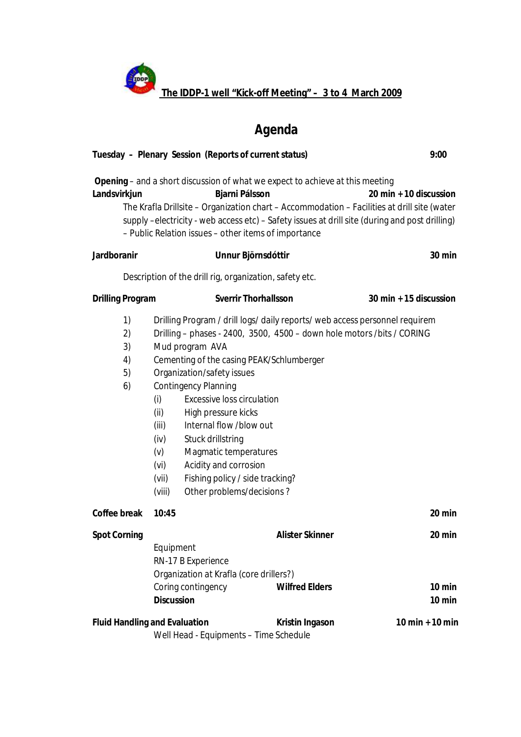**The IDDP-1 well "Kick-off Meeting" – 3 to 4 March 2009**

**CONTROL** 

# *Agenda*

| Tuesday - Plenary Session (Reports of current status)                                                                                  |                                                                                   |                                                                                                                                                                                                                                                                                                |                                                                                                                                                                                                     | 9:00                                                                                                                                                                                                                    |  |  |  |  |
|----------------------------------------------------------------------------------------------------------------------------------------|-----------------------------------------------------------------------------------|------------------------------------------------------------------------------------------------------------------------------------------------------------------------------------------------------------------------------------------------------------------------------------------------|-----------------------------------------------------------------------------------------------------------------------------------------------------------------------------------------------------|-------------------------------------------------------------------------------------------------------------------------------------------------------------------------------------------------------------------------|--|--|--|--|
| Landsvirkjun                                                                                                                           |                                                                                   | Bjarni Pálsson                                                                                                                                                                                                                                                                                 | Opening - and a short discussion of what we expect to achieve at this meeting<br>- Public Relation issues - other items of importance                                                               | 20 min + 10 discussion<br>The Krafla Drillsite - Organization chart - Accommodation - Facilities at drill site (water<br>supply -electricity - web access etc) - Safety issues at drill site (during and post drilling) |  |  |  |  |
| Jardboranir                                                                                                                            |                                                                                   |                                                                                                                                                                                                                                                                                                | Unnur Björnsdóttir                                                                                                                                                                                  | 30 min                                                                                                                                                                                                                  |  |  |  |  |
| Description of the drill rig, organization, safety etc.                                                                                |                                                                                   |                                                                                                                                                                                                                                                                                                |                                                                                                                                                                                                     |                                                                                                                                                                                                                         |  |  |  |  |
| Drilling Program                                                                                                                       |                                                                                   |                                                                                                                                                                                                                                                                                                | <b>Sverrir Thorhallsson</b>                                                                                                                                                                         | 30 min + 15 discussion                                                                                                                                                                                                  |  |  |  |  |
| 1)<br>2)<br>3)<br>4)<br>5)<br>6)                                                                                                       | Mud program AVA<br>(i)<br>(ii)<br>(iii)<br>(iv)<br>(v)<br>(vi)<br>(vii)<br>(viii) | Organization/safety issues<br><b>Contingency Planning</b><br><b>Excessive loss circulation</b><br>High pressure kicks<br>Internal flow /blow out<br><b>Stuck drillstring</b><br>Magmatic temperatures<br>Acidity and corrosion<br>Fishing policy / side tracking?<br>Other problems/decisions? | Drilling Program / drill logs/ daily reports/ web access personnel requirem<br>Drilling - phases - 2400, 3500, 4500 - down hole motors / bits / CORING<br>Cementing of the casing PEAK/Schlumberger |                                                                                                                                                                                                                         |  |  |  |  |
| Coffee break                                                                                                                           | 10:45                                                                             |                                                                                                                                                                                                                                                                                                |                                                                                                                                                                                                     | 20 min                                                                                                                                                                                                                  |  |  |  |  |
| <b>Spot Corning</b>                                                                                                                    | Equipment<br>RN-17 B Experience<br>Coring contingency<br><b>Discussion</b>        | Organization at Krafla (core drillers?)                                                                                                                                                                                                                                                        | <b>Alister Skinner</b><br><b>Wilfred Elders</b>                                                                                                                                                     | 20 min<br>$10 \text{ min}$<br>$10$ min                                                                                                                                                                                  |  |  |  |  |
| <b>Fluid Handling and Evaluation</b><br>$10 \text{ min} + 10 \text{ min}$<br>Kristin Ingason<br>Well Head - Equipments - Time Schedule |                                                                                   |                                                                                                                                                                                                                                                                                                |                                                                                                                                                                                                     |                                                                                                                                                                                                                         |  |  |  |  |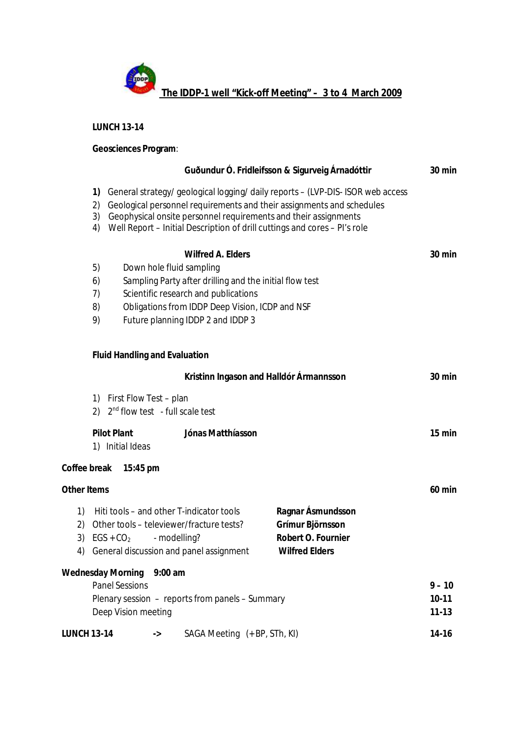

**LUNCH 13-14**

**Geosciences Program**:

|                      |                                                                                                                                                                                                                                                                                                        |                          |                                                                                                                                 | Guðundur Ó. Fridleifsson & Sigurveig Árnadóttir                                      | 30 min                           |  |
|----------------------|--------------------------------------------------------------------------------------------------------------------------------------------------------------------------------------------------------------------------------------------------------------------------------------------------------|--------------------------|---------------------------------------------------------------------------------------------------------------------------------|--------------------------------------------------------------------------------------|----------------------------------|--|
| 1)<br>2)<br>3)<br>4) | General strategy/geological logging/daily reports - (LVP-DIS- ISOR web access<br>Geological personnel requirements and their assignments and schedules<br>Geophysical onsite personnel requirements and their assignments<br>Well Report - Initial Description of drill cuttings and cores - PI's role |                          |                                                                                                                                 |                                                                                      |                                  |  |
|                      |                                                                                                                                                                                                                                                                                                        |                          | Wilfred A. Elders                                                                                                               |                                                                                      | 30 min                           |  |
| 5)                   |                                                                                                                                                                                                                                                                                                        | Down hole fluid sampling |                                                                                                                                 |                                                                                      |                                  |  |
| 6)                   | Sampling Party after drilling and the initial flow test                                                                                                                                                                                                                                                |                          |                                                                                                                                 |                                                                                      |                                  |  |
| 7)                   | Scientific research and publications                                                                                                                                                                                                                                                                   |                          |                                                                                                                                 |                                                                                      |                                  |  |
| 8)                   | Obligations from IDDP Deep Vision, ICDP and NSF                                                                                                                                                                                                                                                        |                          |                                                                                                                                 |                                                                                      |                                  |  |
| 9)                   | Future planning IDDP 2 and IDDP 3                                                                                                                                                                                                                                                                      |                          |                                                                                                                                 |                                                                                      |                                  |  |
|                      | <b>Fluid Handling and Evaluation</b>                                                                                                                                                                                                                                                                   |                          |                                                                                                                                 |                                                                                      |                                  |  |
|                      |                                                                                                                                                                                                                                                                                                        |                          | Kristinn Ingason and Halldór Ármannsson                                                                                         |                                                                                      | 30 min                           |  |
|                      | 1) First Flow Test - plan<br>2) $2nd$ flow test - full scale test                                                                                                                                                                                                                                      |                          |                                                                                                                                 |                                                                                      |                                  |  |
|                      | <b>Pilot Plant</b><br>1) Initial Ideas                                                                                                                                                                                                                                                                 |                          | Jónas Matthíasson                                                                                                               |                                                                                      | 15 min                           |  |
| Coffee break         | 15:45 pm                                                                                                                                                                                                                                                                                               |                          |                                                                                                                                 |                                                                                      |                                  |  |
| <b>Other Items</b>   |                                                                                                                                                                                                                                                                                                        |                          |                                                                                                                                 |                                                                                      | $60$ min                         |  |
| 1)<br>2)<br>3)<br>4) | $EGS + CO2$                                                                                                                                                                                                                                                                                            | - modelling?             | Hiti tools - and other T-indicator tools<br>Other tools - televiewer/fracture tests?<br>General discussion and panel assignment | Ragnar Ásmundsson<br>Grímur Björnsson<br>Robert O. Fournier<br><b>Wilfred Elders</b> |                                  |  |
|                      | <b>Wednesday Morning</b><br><b>Panel Sessions</b><br>Deep Vision meeting                                                                                                                                                                                                                               | $9:00$ am                | Plenary session - reports from panels - Summary                                                                                 |                                                                                      | $9 - 10$<br>$10-11$<br>$11 - 13$ |  |
|                      |                                                                                                                                                                                                                                                                                                        |                          |                                                                                                                                 |                                                                                      |                                  |  |
| <b>LUNCH 13-14</b>   |                                                                                                                                                                                                                                                                                                        | ->                       | SAGA Meeting (+ BP, STh, KI)                                                                                                    |                                                                                      | $14 - 16$                        |  |